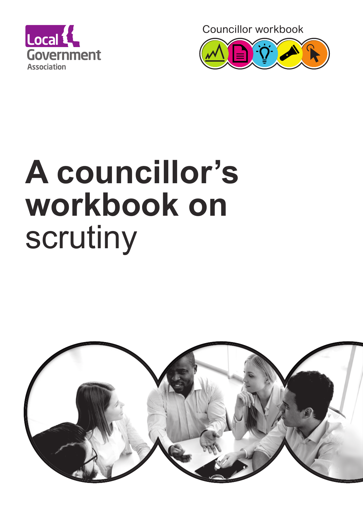

Councillor workbook



# **A councillor's workbook on** scrutiny

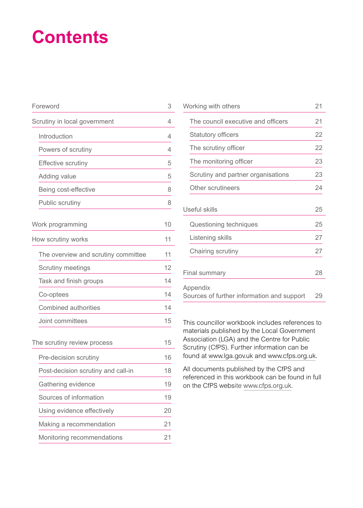## **Contents**

| Foreword                            | 3  |
|-------------------------------------|----|
| Scrutiny in local government        | 4  |
| Introduction                        | 4  |
| Powers of scrutiny                  | 4  |
| <b>Effective scrutiny</b>           | 5  |
| Adding value                        | 5  |
| Being cost-effective                | 8  |
| Public scrutiny                     | 8  |
| Work programming                    | 10 |
| How scrutiny works                  | 11 |
| The overview and scrutiny committee | 11 |
| <b>Scrutiny meetings</b>            | 12 |
| Task and finish groups              | 14 |
| Co-optees                           | 14 |
| <b>Combined authorities</b>         | 14 |
| Joint committees                    | 15 |
| The scrutiny review process         | 15 |
| Pre-decision scrutiny               | 16 |
| Post-decision scrutiny and call-in  | 18 |
| Gathering evidence                  | 19 |
| Sources of information              | 19 |
| Using evidence effectively          | 20 |
| Making a recommendation             | 21 |
| Monitoring recommendations          | 21 |

| Working with others                                    | 21 |
|--------------------------------------------------------|----|
| The council executive and officers                     | 21 |
| <b>Statutory officers</b>                              | 22 |
| The scrutiny officer                                   | 22 |
| The monitoring officer                                 | 23 |
| Scrutiny and partner organisations                     | 23 |
| Other scrutineers                                      | 24 |
| <b>Useful skills</b>                                   | 25 |
| Questioning techniques                                 | 25 |
| Listening skills                                       | 27 |
| Chairing scrutiny                                      | 27 |
| Final summary                                          | 28 |
| Appendix<br>Sources of further information and support | 29 |

This councillor workbook includes references to materials published by the Local Government Association (LGA) and the Centre for Public Scrutiny (CfPS). Further information can be found at www.lga.gov.uk and www.cfps.org.uk.

All documents published by the CfPS and referenced in this workbook can be found in full on the CfPS website [www.cfps.org.uk.](http://www.cfps.org.uk)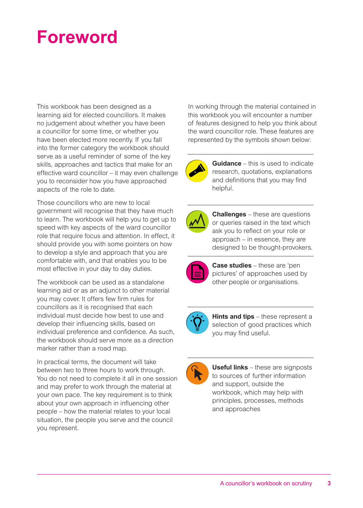## **Foreword**

This workbook has been designed as a learning aid for elected councillors. It makes no judgement about whether you have been a councillor for some time, or whether you have been elected more recently. If you fall into the former category the workbook should serve as a useful reminder of some of the key skills, approaches and tactics that make for an effective ward councillor – it may even challenge you to reconsider how you have approached aspects of the role to date.

Those councillors who are new to local government will recognise that they have much to learn. The workbook will help you to get up to speed with key aspects of the ward councillor role that require focus and attention. In effect, it should provide you with some pointers on how to develop a style and approach that you are comfortable with, and that enables you to be most effective in your day to day duties.

The workbook can be used as a standalone learning aid or as an adjunct to other material you may cover. It offers few firm rules for councillors as it is recognised that each individual must decide how best to use and develop their influencing skills, based on individual preference and confidence. As such, the workbook should serve more as a direction marker rather than a road map.

In practical terms, the document will take between two to three hours to work through. You do not need to complete it all in one session and may prefer to work through the material at your own pace. The key requirement is to think about your own approach in influencing other people – how the material relates to your local situation, the people you serve and the council you represent.

In working through the material contained in this workbook you will encounter a number of features designed to help you think about the ward councillor role. These features are represented by the symbols shown below:



**Guidance** – this is used to indicate research, quotations, explanations and definitions that you may find helpful.



**Challenges** – these are questions or queries raised in the text which ask you to reflect on your role or approach – in essence, they are designed to be thought-provokers.



**Case studies** – these are 'pen pictures' of approaches used by other people or organisations.



**Hints and tips** – these represent a selection of good practices which you may find useful.



**Useful links** – these are signposts to sources of further information and support, outside the workbook, which may help with principles, processes, methods and approaches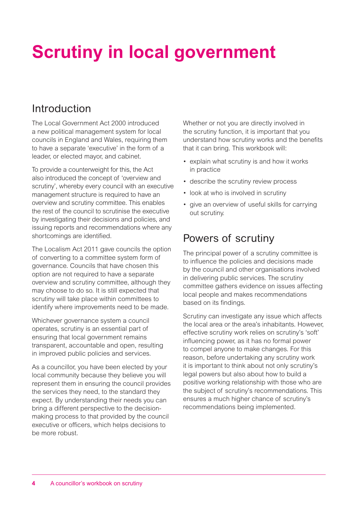## **Scrutiny in local government**

### Introduction

The Local Government Act 2000 introduced a new political management system for local councils in England and Wales, requiring them to have a separate 'executive' in the form of a leader, or elected mayor, and cabinet.

To provide a counterweight for this, the Act also introduced the concept of 'overview and scrutiny', whereby every council with an executive management structure is required to have an overview and scrutiny committee. This enables the rest of the council to scrutinise the executive by investigating their decisions and policies, and issuing reports and recommendations where any shortcomings are identified.

The Localism Act 2011 gave councils the option of converting to a committee system form of governance. Councils that have chosen this option are not required to have a separate overview and scrutiny committee, although they may choose to do so. It is still expected that scrutiny will take place within committees to identify where improvements need to be made.

Whichever governance system a council operates, scrutiny is an essential part of ensuring that local government remains transparent, accountable and open, resulting in improved public policies and services.

As a councillor, you have been elected by your local community because they believe you will represent them in ensuring the council provides the services they need, to the standard they expect. By understanding their needs you can bring a different perspective to the decisionmaking process to that provided by the council executive or officers, which helps decisions to be more robust.

Whether or not you are directly involved in the scrutiny function, it is important that you understand how scrutiny works and the benefits that it can bring. This workbook will:

- explain what scrutiny is and how it works in practice
- describe the scrutiny review process
- look at who is involved in scrutiny
- give an overview of useful skills for carrying out scrutiny.

### Powers of scrutiny

The principal power of a scrutiny committee is to influence the policies and decisions made by the council and other organisations involved in delivering public services. The scrutiny committee gathers evidence on issues affecting local people and makes recommendations based on its findings.

Scrutiny can investigate any issue which affects the local area or the area's inhabitants. However, effective scrutiny work relies on scrutiny's 'soft' influencing power, as it has no formal power to compel anyone to make changes. For this reason, before undertaking any scrutiny work it is important to think about not only scrutiny's legal powers but also about how to build a positive working relationship with those who are the subject of scrutiny's recommendations. This ensures a much higher chance of scrutiny's recommendations being implemented.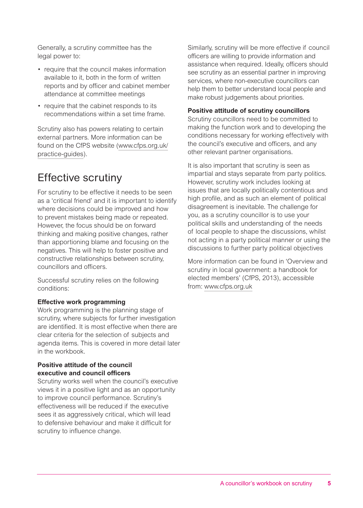Generally, a scrutiny committee has the legal power to:

- require that the council makes information available to it, both in the form of written reports and by officer and cabinet member attendance at committee meetings
- require that the cabinet responds to its recommendations within a set time frame.

Scrutiny also has powers relating to certain external partners. More information can be found on the CfPS website (www.cfps.org.uk/ practice-guides).

### Effective scrutiny

For scrutiny to be effective it needs to be seen as a 'critical friend' and it is important to identify where decisions could be improved and how to prevent mistakes being made or repeated. However, the focus should be on forward thinking and making positive changes, rather than apportioning blame and focusing on the negatives. This will help to foster positive and constructive relationships between scrutiny, councillors and officers.

Successful scrutiny relies on the following conditions:

### **Effective work programming**

Work programming is the planning stage of scrutiny, where subjects for further investigation are identified. It is most effective when there are clear criteria for the selection of subjects and agenda items. This is covered in more detail later in the workbook.

### **Positive attitude of the council executive and council officers**

Scrutiny works well when the council's executive views it in a positive light and as an opportunity to improve council performance. Scrutiny's effectiveness will be reduced if the executive sees it as aggressively critical, which will lead to defensive behaviour and make it difficult for scrutiny to influence change.

Similarly, scrutiny will be more effective if council officers are willing to provide information and assistance when required. Ideally, officers should see scrutiny as an essential partner in improving services, where non-executive councillors can help them to better understand local people and make robust judgements about priorities.

### **Positive attitude of scrutiny councillors**

Scrutiny councillors need to be committed to making the function work and to developing the conditions necessary for working effectively with the council's executive and officers, and any other relevant partner organisations.

It is also important that scrutiny is seen as impartial and stays separate from party politics. However, scrutiny work includes looking at issues that are locally politically contentious and high profile, and as such an element of political disagreement is inevitable. The challenge for you, as a scrutiny councillor is to use your political skills and understanding of the needs of local people to shape the discussions, whilst not acting in a party political manner or using the discussions to further party political objectives

More information can be found in 'Overview and scrutiny in local government: a handbook for elected members' (CfPS, 2013), accessible from: www.cfps.org.uk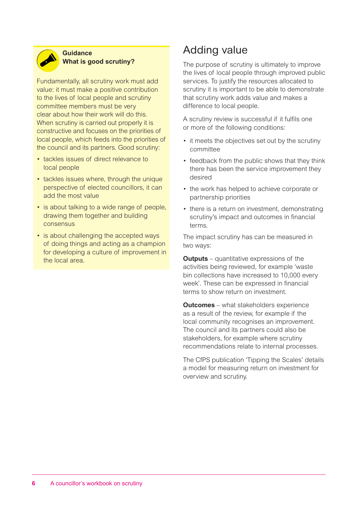

### **Guidance What is good scrutiny?**

Fundamentally, all scrutiny work must add value: it must make a positive contribution to the lives of local people and scrutiny committee members must be very clear about how their work will do this. When scrutiny is carried out properly it is constructive and focuses on the priorities of local people, which feeds into the priorities of the council and its partners. Good scrutiny:

- tackles issues of direct relevance to local people
- tackles issues where, through the unique perspective of elected councillors, it can add the most value
- is about talking to a wide range of people, drawing them together and building consensus
- is about challenging the accepted ways of doing things and acting as a champion for developing a culture of improvement in the local area.

### Adding value

The purpose of scrutiny is ultimately to improve the lives of local people through improved public services. To justify the resources allocated to scrutiny it is important to be able to demonstrate that scrutiny work adds value and makes a difference to local people.

A scrutiny review is successful if it fulfils one or more of the following conditions:

- it meets the objectives set out by the scrutiny committee
- feedback from the public shows that they think there has been the service improvement they desired
- the work has helped to achieve corporate or partnership priorities
- there is a return on investment, demonstrating scrutiny's impact and outcomes in financial terms.

The impact scrutiny has can be measured in two ways:

**Outputs** – quantitative expressions of the activities being reviewed, for example 'waste bin collections have increased to 10,000 every week'. These can be expressed in financial terms to show return on investment.

**Outcomes** – what stakeholders experience as a result of the review, for example if the local community recognises an improvement. The council and its partners could also be stakeholders, for example where scrutiny recommendations relate to internal processes.

The CfPS publication 'Tipping the Scales' details a model for measuring return on investment for overview and scrutiny.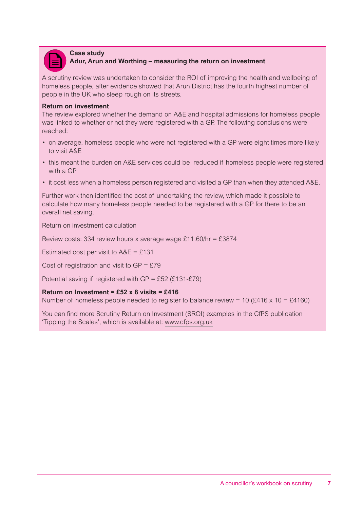

### **Case study Adur, Arun and Worthing – measuring the return on investment**

A scrutiny review was undertaken to consider the ROI of improving the health and wellbeing of homeless people, after evidence showed that Arun District has the fourth highest number of people in the UK who sleep rough on its streets.

#### **Return on investment**

The review explored whether the demand on A&E and hospital admissions for homeless people was linked to whether or not they were registered with a GP. The following conclusions were reached:

- on average, homeless people who were not registered with a GP were eight times more likely to visit A&E
- this meant the burden on A&E services could be reduced if homeless people were registered with a GP
- it cost less when a homeless person registered and visited a GP than when they attended A&E.

Further work then identified the cost of undertaking the review, which made it possible to calculate how many homeless people needed to be registered with a GP for there to be an overall net saving.

Return on investment calculation

Review costs: 334 review hours x average wage £11.60/hr = £3874

Estimated cost per visit to  $AAE = £131$ 

Cost of registration and visit to  $GP = £79$ 

Potential saving if registered with  $GP = \text{\textsterling}52$  (£131-£79)

### **Return on Investment = £52 x 8 visits = £416**

Number of homeless people needed to register to balance review = 10 (£416 x 10 = £4160)

You can find more Scrutiny Return on Investment (SROI) examples in the CfPS publication 'Tipping the Scales', which is available at: www.cfps.org.uk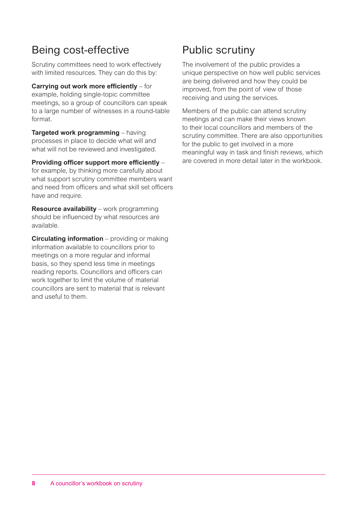### Being cost-effective

Scrutiny committees need to work effectively with limited resources. They can do this by:

**Carrying out work more efficiently** – for example, holding single-topic committee meetings, so a group of councillors can speak to a large number of witnesses in a round-table format.

**Targeted work programming** – having processes in place to decide what will and what will not be reviewed and investigated.

**Providing officer support more efficiently** – for example, by thinking more carefully about what support scrutiny committee members want and need from officers and what skill set officers have and require.

**Resource availability** – work programming should be influenced by what resources are available.

**Circulating information** – providing or making information available to councillors prior to meetings on a more regular and informal basis, so they spend less time in meetings reading reports. Councillors and officers can work together to limit the volume of material councillors are sent to material that is relevant and useful to them.

### Public scrutiny

The involvement of the public provides a unique perspective on how well public services are being delivered and how they could be improved, from the point of view of those receiving and using the services.

Members of the public can attend scrutiny meetings and can make their views known to their local councillors and members of the scrutiny committee. There are also opportunities for the public to get involved in a more meaningful way in task and finish reviews, which are covered in more detail later in the workbook.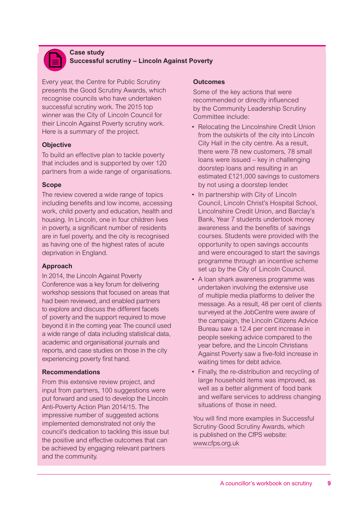

#### **Case study Successful scrutiny – Lincoln Against Poverty**

Every year, the Centre for Public Scrutiny presents the Good Scrutiny Awards, which recognise councils who have undertaken successful scrutiny work. The 2015 top winner was the City of Lincoln Council for their Lincoln Against Poverty scrutiny work. Here is a summary of the project.

### **Objective**

To build an effective plan to tackle poverty that includes and is supported by over 120 partners from a wide range of organisations.

### **Scope**

The review covered a wide range of topics including benefits and low income, accessing work, child poverty and education, health and housing. In Lincoln, one in four children lives in poverty, a significant number of residents are in fuel poverty, and the city is recognised as having one of the highest rates of acute deprivation in England.

### **Approach**

In 2014, the Lincoln Against Poverty Conference was a key forum for delivering workshop sessions that focused on areas that had been reviewed, and enabled partners to explore and discuss the different facets of poverty and the support required to move beyond it in the coming year. The council used a wide range of data including statistical data, academic and organisational journals and reports, and case studies on those in the city experiencing poverty first hand.

### **Recommendations**

From this extensive review project, and input from partners, 100 suggestions were put forward and used to develop the Lincoln Anti-Poverty Action Plan 2014/15. The impressive number of suggested actions implemented demonstrated not only the council's dedication to tackling this issue but the positive and effective outcomes that can be achieved by engaging relevant partners and the community.

### **Outcomes**

Some of the key actions that were recommended or directly influenced by the Community Leadership Scrutiny Committee include:

- Relocating the Lincolnshire Credit Union from the outskirts of the city into Lincoln City Hall in the city centre. As a result, there were 78 new customers, 78 small loans were issued – key in challenging doorstep loans and resulting in an estimated £121,000 savings to customers by not using a doorstep lender.
- In partnership with City of Lincoln Council, Lincoln Christ's Hospital School, Lincolnshire Credit Union, and Barclay's Bank, Year 7 students undertook money awareness and the benefits of savings courses. Students were provided with the opportunity to open savings accounts and were encouraged to start the savings programme through an incentive scheme set up by the City of Lincoln Council.
- A loan shark awareness programme was undertaken involving the extensive use of multiple media platforms to deliver the message. As a result, 48 per cent of clients surveyed at the JobCentre were aware of the campaign, the Lincoln Citizens Advice Bureau saw a 12.4 per cent increase in people seeking advice compared to the year before, and the Lincoln Christians Against Poverty saw a five-fold increase in waiting times for debt advice.
- Finally, the re-distribution and recycling of large household items was improved, as well as a better alignment of food bank and welfare services to address changing situations of those in need.

You will find more examples in Successful Scrutiny Good Scrutiny Awards, which is published on the CfPS website: www.cfps.org.uk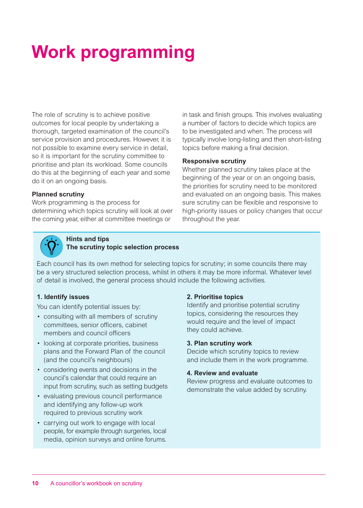## **Work programming**

The role of scrutiny is to achieve positive outcomes for local people by undertaking a thorough, targeted examination of the council's service provision and procedures. However, it is not possible to examine every service in detail, so it is important for the scrutiny committee to prioritise and plan its workload. Some councils do this at the beginning of each year and some do it on an ongoing basis.

#### **Planned scrutiny**

Work programming is the process for determining which topics scrutiny will look at over the coming year, either at committee meetings or

in task and finish groups. This involves evaluating a number of factors to decide which topics are to be investigated and when. The process will typically involve long-listing and then short-listing topics before making a final decision.

#### **Responsive scrutiny**

Whether planned scrutiny takes place at the beginning of the year or on an ongoing basis, the priorities for scrutiny need to be monitored and evaluated on an ongoing basis. This makes sure scrutiny can be flexible and responsive to high-priority issues or policy changes that occur throughout the year.

### **Hints and tips The scrutiny topic selection process**

Each council has its own method for selecting topics for scrutiny; in some councils there may be a very structured selection process, whilst in others it may be more informal. Whatever level of detail is involved, the general process should include the following activities.

### **1. Identify issues**

You can identify potential issues by:

- consulting with all members of scrutiny committees, senior officers, cabinet members and council officers
- looking at corporate priorities, business plans and the Forward Plan of the council (and the council's neighbours)
- considering events and decisions in the council's calendar that could require an input from scrutiny, such as setting budgets
- evaluating previous council performance and identifying any follow-up work required to previous scrutiny work
- carrying out work to engage with local people, for example through surgeries, local media, opinion surveys and online forums.

### **2. Prioritise topics**

Identify and prioritise potential scrutiny topics, considering the resources they would require and the level of impact they could achieve.

### **3. Plan scrutiny work**

Decide which scrutiny topics to review and include them in the work programme.

### **4. Review and evaluate**

Review progress and evaluate outcomes to demonstrate the value added by scrutiny.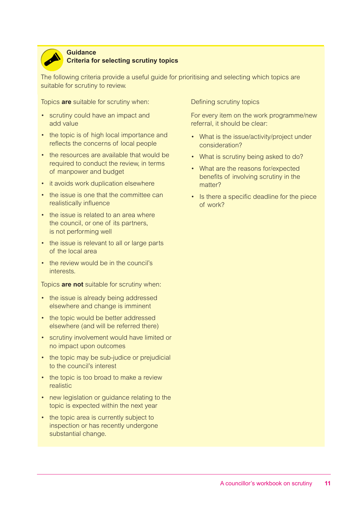

#### **Guidance**

### **Criteria for selecting scrutiny topics**

The following criteria provide a useful guide for prioritising and selecting which topics are suitable for scrutiny to review.

Topics **are** suitable for scrutiny when:

- scrutiny could have an impact and add value
- the topic is of high local importance and reflects the concerns of local people
- the resources are available that would be required to conduct the review, in terms of manpower and budget
- it avoids work duplication elsewhere
- the issue is one that the committee can realistically influence
- the issue is related to an area where the council, or one of its partners, is not performing well
- the issue is relevant to all or large parts of the local area
- the review would be in the council's interests.

Topics **are not** suitable for scrutiny when:

- the issue is already being addressed elsewhere and change is imminent
- the topic would be better addressed elsewhere (and will be referred there)
- scrutiny involvement would have limited or no impact upon outcomes
- the topic may be sub-judice or prejudicial to the council's interest
- the topic is too broad to make a review realistic
- new legislation or guidance relating to the topic is expected within the next year
- the topic area is currently subject to inspection or has recently undergone substantial change.

Defining scrutiny topics

For every item on the work programme/new referral, it should be clear:

- What is the issue/activity/project under consideration?
- What is scrutiny being asked to do?
- What are the reasons for/expected benefits of involving scrutiny in the matter?
- Is there a specific deadline for the piece of work?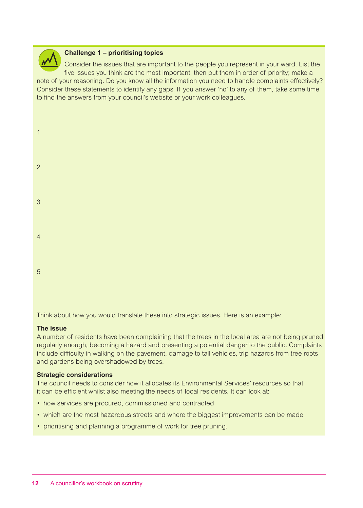

### **Challenge 1 – prioritising topics**

Consider the issues that are important to the people you represent in your ward. List the five issues you think are the most important, then put them in order of priority; make a note of your reasoning. Do you know all the information you need to handle complaints effectively? Consider these statements to identify any gaps. If you answer 'no' to any of them, take some time to find the answers from your council's website or your work colleagues.

| $\mathbf{1}$   |  |  |  |
|----------------|--|--|--|
| $\overline{2}$ |  |  |  |
| $\overline{3}$ |  |  |  |
| $\overline{4}$ |  |  |  |
| 5              |  |  |  |

Think about how you would translate these into strategic issues. Here is an example:

### **The issue**

A number of residents have been complaining that the trees in the local area are not being pruned regularly enough, becoming a hazard and presenting a potential danger to the public. Complaints include difficulty in walking on the pavement, damage to tall vehicles, trip hazards from tree roots and gardens being overshadowed by trees.

#### **Strategic considerations**

The council needs to consider how it allocates its Environmental Services' resources so that it can be efficient whilst also meeting the needs of local residents. It can look at:

- how services are procured, commissioned and contracted
- which are the most hazardous streets and where the biggest improvements can be made
- prioritising and planning a programme of work for tree pruning.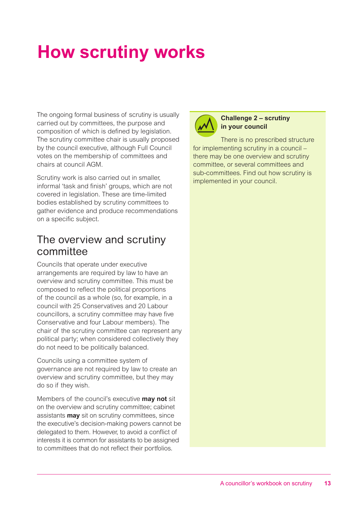## **How scrutiny works**

The ongoing formal business of scrutiny is usually carried out by committees, the purpose and composition of which is defined by legislation. The scrutiny committee chair is usually proposed by the council executive, although Full Council votes on the membership of committees and chairs at council AGM.

Scrutiny work is also carried out in smaller, informal 'task and finish' groups, which are not covered in legislation. These are time-limited bodies established by scrutiny committees to gather evidence and produce recommendations on a specific subject.

### The overview and scrutiny committee

Councils that operate under executive arrangements are required by law to have an overview and scrutiny committee. This must be composed to reflect the political proportions of the council as a whole (so, for example, in a council with 25 Conservatives and 20 Labour councillors, a scrutiny committee may have five Conservative and four Labour members). The chair of the scrutiny committee can represent any political party; when considered collectively they do not need to be politically balanced.

Councils using a committee system of governance are not required by law to create an overview and scrutiny committee, but they may do so if they wish.

Members of the council's executive **may not** sit on the overview and scrutiny committee; cabinet assistants **may** sit on scrutiny committees, since the executive's decision-making powers cannot be delegated to them. However, to avoid a conflict of interests it is common for assistants to be assigned to committees that do not reflect their portfolios.



### **Challenge 2 – scrutiny in your council**

There is no prescribed structure for implementing scrutiny in a council – there may be one overview and scrutiny committee, or several committees and sub-committees. Find out how scrutiny is implemented in your council.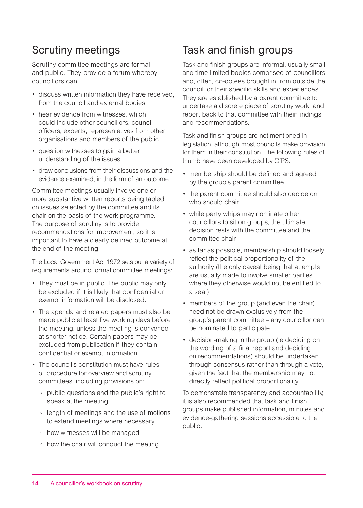### Scrutiny meetings

Scrutiny committee meetings are formal and public. They provide a forum whereby councillors can:

- discuss written information they have received, from the council and external bodies
- hear evidence from witnesses, which could include other councillors, council officers, experts, representatives from other organisations and members of the public
- question witnesses to gain a better understanding of the issues
- draw conclusions from their discussions and the evidence examined, in the form of an outcome.

Committee meetings usually involve one or more substantive written reports being tabled on issues selected by the committee and its chair on the basis of the work programme. The purpose of scrutiny is to provide recommendations for improvement, so it is important to have a clearly defined outcome at the end of the meeting.

The Local Government Act 1972 sets out a variety of requirements around formal committee meetings:

- They must be in public. The public may only be excluded if it is likely that confidential or exempt information will be disclosed.
- The agenda and related papers must also be made public at least five working days before the meeting, unless the meeting is convened at shorter notice. Certain papers may be excluded from publication if they contain confidential or exempt information.
- The council's constitution must have rules of procedure for overview and scrutiny committees, including provisions on:
	- public questions and the public's right to speak at the meeting
	- length of meetings and the use of motions to extend meetings where necessary
	- how witnesses will be managed
	- how the chair will conduct the meeting.

### Task and finish groups

Task and finish groups are informal, usually small and time-limited bodies comprised of councillors and, often, co-optees brought in from outside the council for their specific skills and experiences. They are established by a parent committee to undertake a discrete piece of scrutiny work, and report back to that committee with their findings and recommendations.

Task and finish groups are not mentioned in legislation, although most councils make provision for them in their constitution. The following rules of thumb have been developed by CfPS:

- membership should be defined and agreed by the group's parent committee
- the parent committee should also decide on who should chair
- while party whips may nominate other councillors to sit on groups, the ultimate decision rests with the committee and the committee chair
- as far as possible, membership should loosely reflect the political proportionality of the authority (the only caveat being that attempts are usually made to involve smaller parties where they otherwise would not be entitled to a seat)
- members of the group (and even the chair) need not be drawn exclusively from the group's parent committee – any councillor can be nominated to participate
- decision-making in the group (ie deciding on the wording of a final report and deciding on recommendations) should be undertaken through consensus rather than through a vote, given the fact that the membership may not directly reflect political proportionality.

To demonstrate transparency and accountability, it is also recommended that task and finish groups make published information, minutes and evidence-gathering sessions accessible to the public.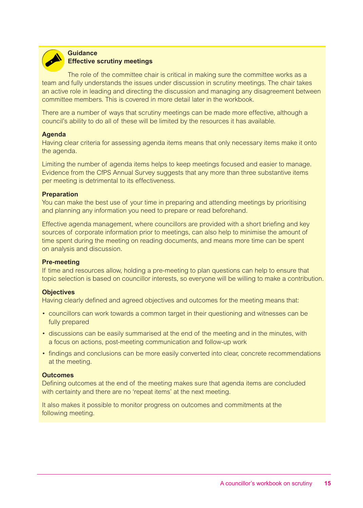

#### **Guidance Effective scrutiny meetings**

The role of the committee chair is critical in making sure the committee works as a team and fully understands the issues under discussion in scrutiny meetings. The chair takes an active role in leading and directing the discussion and managing any disagreement between committee members. This is covered in more detail later in the workbook.

There are a number of ways that scrutiny meetings can be made more effective, although a council's ability to do all of these will be limited by the resources it has available.

### **Agenda**

Having clear criteria for assessing agenda items means that only necessary items make it onto the agenda.

Limiting the number of agenda items helps to keep meetings focused and easier to manage. Evidence from the CfPS Annual Survey suggests that any more than three substantive items per meeting is detrimental to its effectiveness.

### **Preparation**

You can make the best use of your time in preparing and attending meetings by prioritising and planning any information you need to prepare or read beforehand.

Effective agenda management, where councillors are provided with a short briefing and key sources of corporate information prior to meetings, can also help to minimise the amount of time spent during the meeting on reading documents, and means more time can be spent on analysis and discussion.

### **Pre-meeting**

If time and resources allow, holding a pre-meeting to plan questions can help to ensure that topic selection is based on councillor interests, so everyone will be willing to make a contribution.

### **Objectives**

Having clearly defined and agreed objectives and outcomes for the meeting means that:

- councillors can work towards a common target in their questioning and witnesses can be fully prepared
- discussions can be easily summarised at the end of the meeting and in the minutes, with a focus on actions, post-meeting communication and follow-up work
- findings and conclusions can be more easily converted into clear, concrete recommendations at the meeting.

### **Outcomes**

Defining outcomes at the end of the meeting makes sure that agenda items are concluded with certainty and there are no 'repeat items' at the next meeting.

It also makes it possible to monitor progress on outcomes and commitments at the following meeting.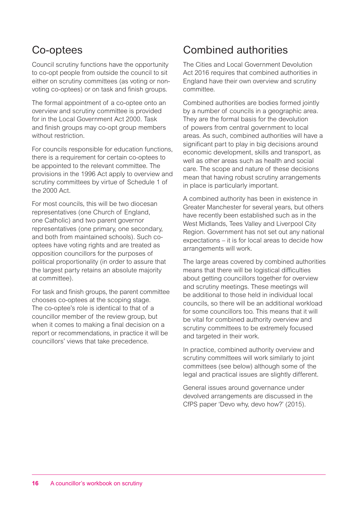### Co-optees

Council scrutiny functions have the opportunity to co-opt people from outside the council to sit either on scrutiny committees (as voting or nonvoting co-optees) or on task and finish groups.

The formal appointment of a co-optee onto an overview and scrutiny committee is provided for in the Local Government Act 2000. Task and finish groups may co-opt group members without restriction.

For councils responsible for education functions, there is a requirement for certain co-optees to be appointed to the relevant committee. The provisions in the 1996 Act apply to overview and scrutiny committees by virtue of Schedule 1 of the 2000 Act.

For most councils, this will be two diocesan representatives (one Church of England, one Catholic) and two parent governor representatives (one primary, one secondary, and both from maintained schools). Such cooptees have voting rights and are treated as opposition councillors for the purposes of political proportionality (in order to assure that the largest party retains an absolute majority at committee).

For task and finish groups, the parent committee chooses co-optees at the scoping stage. The co-optee's role is identical to that of a councillor member of the review group, but when it comes to making a final decision on a report or recommendations, in practice it will be councillors' views that take precedence.

### Combined authorities

The Cities and Local Government Devolution Act 2016 requires that combined authorities in England have their own overview and scrutiny committee.

Combined authorities are bodies formed jointly by a number of councils in a geographic area. They are the formal basis for the devolution of powers from central government to local areas. As such, combined authorities will have a significant part to play in big decisions around economic development, skills and transport, as well as other areas such as health and social care. The scope and nature of these decisions mean that having robust scrutiny arrangements in place is particularly important.

A combined authority has been in existence in Greater Manchester for several years, but others have recently been established such as in the West Midlands, Tees Valley and Liverpool City Region. Government has not set out any national expectations – it is for local areas to decide how arrangements will work.

The large areas covered by combined authorities means that there will be logistical difficulties about getting councillors together for overview and scrutiny meetings. These meetings will be additional to those held in individual local councils, so there will be an additional workload for some councillors too. This means that it will be vital for combined authority overview and scrutiny committees to be extremely focused and targeted in their work.

In practice, combined authority overview and scrutiny committees will work similarly to joint committees (see below) although some of the legal and practical issues are slightly different.

General issues around governance under devolved arrangements are discussed in the CfPS paper 'Devo why, devo how?' (2015).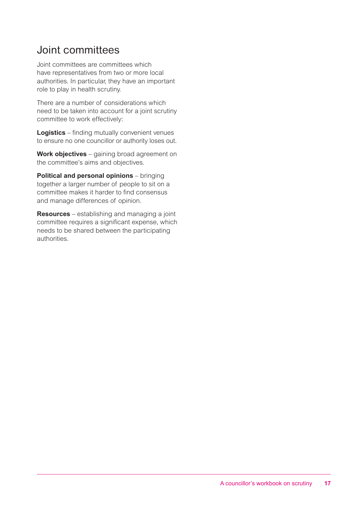### Joint committees

Joint committees are committees which have representatives from two or more local authorities. In particular, they have an important role to play in health scrutiny.

There are a number of considerations which need to be taken into account for a joint scrutiny committee to work effectively:

**Logistics** – finding mutually convenient venues to ensure no one councillor or authority loses out.

**Work objectives** – gaining broad agreement on the committee's aims and objectives.

**Political and personal opinions** – bringing together a larger number of people to sit on a committee makes it harder to find consensus and manage differences of opinion.

**Resources** – establishing and managing a joint committee requires a significant expense, which needs to be shared between the participating authorities.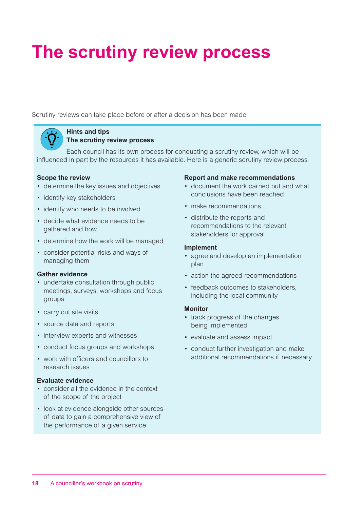## **The scrutiny review process**

Scrutiny reviews can take place before or after a decision has been made.



#### **Hints and tips The scrutiny review process**

Each council has its own process for conducting a scrutiny review, which will be influenced in part by the resources it has available. Here is a generic scrutiny review process.

### **Scope the review**

- determine the key issues and objectives
- identify key stakeholders
- identify who needs to be involved
- decide what evidence needs to be gathered and how
- determine how the work will be managed
- consider potential risks and ways of managing them

### **Gather evidence**

- undertake consultation through public meetings, surveys, workshops and focus groups
- carry out site visits
- source data and reports
- interview experts and witnesses
- conduct focus groups and workshops
- work with officers and councillors to research issues

### **Evaluate evidence**

- consider all the evidence in the context of the scope of the project
- look at evidence alongside other sources of data to gain a comprehensive view of the performance of a given service

### **Report and make recommendations**

- document the work carried out and what conclusions have been reached
- make recommendations
- distribute the reports and recommendations to the relevant stakeholders for approval

### **Implement**

- agree and develop an implementation plan
- action the agreed recommendations
- feedback outcomes to stakeholders, including the local community

### **Monitor**

- track progress of the changes being implemented
- evaluate and assess impact
- conduct further investigation and make additional recommendations if necessary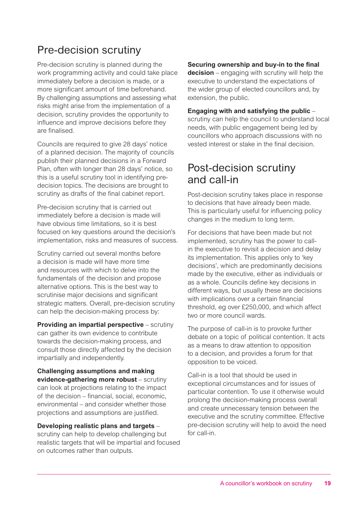### Pre-decision scrutiny

Pre-decision scrutiny is planned during the work programming activity and could take place immediately before a decision is made, or a more significant amount of time beforehand. By challenging assumptions and assessing what risks might arise from the implementation of a decision, scrutiny provides the opportunity to influence and improve decisions before they are finalised.

Councils are required to give 28 days' notice of a planned decision. The majority of councils publish their planned decisions in a Forward Plan, often with longer than 28 days' notice, so this is a useful scrutiny tool in identifying predecision topics. The decisions are brought to scrutiny as drafts of the final cabinet report.

Pre-decision scrutiny that is carried out immediately before a decision is made will have obvious time limitations, so it is best focused on key questions around the decision's implementation, risks and measures of success.

Scrutiny carried out several months before a decision is made will have more time and resources with which to delve into the fundamentals of the decision and propose alternative options. This is the best way to scrutinise major decisions and significant strategic matters. Overall, pre-decision scrutiny can help the decision-making process by:

**Providing an impartial perspective** – scrutiny can gather its own evidence to contribute towards the decision-making process, and consult those directly affected by the decision impartially and independently.

**Challenging assumptions and making evidence-gathering more robust** – scrutiny can look at projections relating to the impact of the decision – financial, social, economic, environmental – and consider whether those projections and assumptions are justified.

**Developing realistic plans and targets** – scrutiny can help to develop challenging but realistic targets that will be impartial and focused on outcomes rather than outputs.

**Securing ownership and buy-in to the final decision** – engaging with scrutiny will help the executive to understand the expectations of the wider group of elected councillors and, by extension, the public.

**Engaging with and satisfying the public** – scrutiny can help the council to understand local needs, with public engagement being led by councillors who approach discussions with no vested interest or stake in the final decision.

### Post-decision scrutiny and call-in

Post-decision scrutiny takes place in response to decisions that have already been made. This is particularly useful for influencing policy changes in the medium to long term.

For decisions that have been made but not implemented, scrutiny has the power to callin the executive to revisit a decision and delay its implementation. This applies only to 'key decisions', which are predominantly decisions made by the executive, either as individuals or as a whole. Councils define key decisions in different ways, but usually these are decisions with implications over a certain financial threshold, eg over £250,000, and which affect two or more council wards.

The purpose of call-in is to provoke further debate on a topic of political contention. It acts as a means to draw attention to opposition to a decision, and provides a forum for that opposition to be voiced.

Call-in is a tool that should be used in exceptional circumstances and for issues of particular contention. To use it otherwise would prolong the decision-making process overall and create unnecessary tension between the executive and the scrutiny committee. Effective pre-decision scrutiny will help to avoid the need for call-in.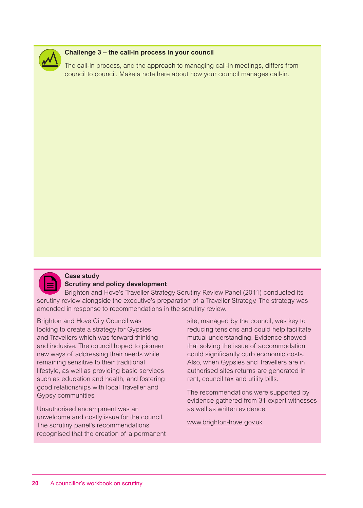

### **Challenge 3 – the call-in process in your council**

The call-in process, and the approach to managing call-in meetings, differs from council to council. Make a note here about how your council manages call-in.



#### **Case study Scrutiny and policy development**

Brighton and Hove's Traveller Strategy Scrutiny Review Panel (2011) conducted its scrutiny review alongside the executive's preparation of a Traveller Strategy. The strategy was amended in response to recommendations in the scrutiny review.

Brighton and Hove City Council was looking to create a strategy for Gypsies and Travellers which was forward thinking and inclusive. The council hoped to pioneer new ways of addressing their needs while remaining sensitive to their traditional lifestyle, as well as providing basic services such as education and health, and fostering good relationships with local Traveller and Gypsy communities.

Unauthorised encampment was an unwelcome and costly issue for the council. The scrutiny panel's recommendations recognised that the creation of a permanent site, managed by the council, was key to reducing tensions and could help facilitate mutual understanding. Evidence showed that solving the issue of accommodation could significantly curb economic costs. Also, when Gypsies and Travellers are in authorised sites returns are generated in rent, council tax and utility bills.

The recommendations were supported by evidence gathered from 31 expert witnesses as well as written evidence.

www.brighton-hove.gov.uk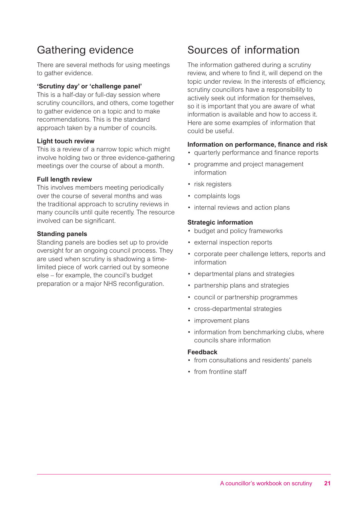### Gathering evidence

There are several methods for using meetings to gather evidence.

### **'Scrutiny day' or 'challenge panel'**

This is a half-day or full-day session where scrutiny councillors, and others, come together to gather evidence on a topic and to make recommendations. This is the standard approach taken by a number of councils.

### **Light touch review**

This is a review of a narrow topic which might involve holding two or three evidence-gathering meetings over the course of about a month.

### **Full length review**

This involves members meeting periodically over the course of several months and was the traditional approach to scrutiny reviews in many councils until quite recently. The resource involved can be significant.

### **Standing panels**

Standing panels are bodies set up to provide oversight for an ongoing council process. They are used when scrutiny is shadowing a timelimited piece of work carried out by someone else – for example, the council's budget preparation or a major NHS reconfiguration.

### Sources of information

The information gathered during a scrutiny review, and where to find it, will depend on the topic under review. In the interests of efficiency, scrutiny councillors have a responsibility to actively seek out information for themselves, so it is important that you are aware of what information is available and how to access it. Here are some examples of information that could be useful.

### **Information on performance, finance and risk**

- quarterly performance and finance reports
- programme and project management information
- risk registers
- complaints logs
- internal reviews and action plans

### **Strategic information**

- budget and policy frameworks
- external inspection reports
- corporate peer challenge letters, reports and information
- departmental plans and strategies
- partnership plans and strategies
- council or partnership programmes
- cross-departmental strategies
- improvement plans
- information from benchmarking clubs, where councils share information

#### **Feedback**

- from consultations and residents' panels
- from frontline staff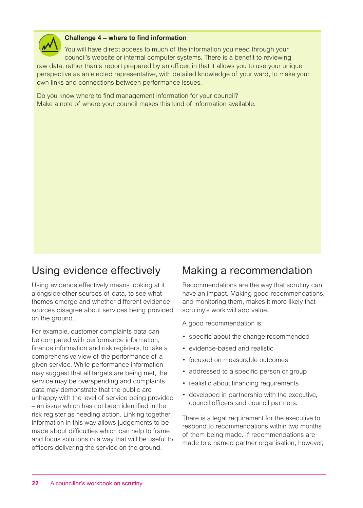

### **Challenge 4 – where to find information**

You will have direct access to much of the information you need through your council's website or internal computer systems. There is a benefit to reviewing raw data, rather than a report prepared by an officer, in that it allows you to use your unique

perspective as an elected representative, with detailed knowledge of your ward, to make your own links and connections between performance issues.

Do you know where to find management information for your council? Make a note of where your council makes this kind of information available.

### Using evidence effectively

Using evidence effectively means looking at it alongside other sources of data, to see what themes emerge and whether different evidence sources disagree about services being provided on the ground.

For example, customer complaints data can be compared with performance information, finance information and risk registers, to take a comprehensive view of the performance of a given service. While performance information may suggest that all targets are being met, the service may be overspending and complaints data may demonstrate that the public are unhappy with the level of service being provided – an issue which has not been identified in the risk register as needing action. Linking together information in this way allows judgements to be made about difficulties which can help to frame and focus solutions in a way that will be useful to officers delivering the service on the ground.

### Making a recommendation

Recommendations are the way that scrutiny can have an impact. Making good recommendations, and monitoring them, makes it more likely that scrutiny's work will add value.

A good recommendation is:

- specific about the change recommended
- evidence-based and realistic
- focused on measurable outcomes
- addressed to a specific person or group
- realistic about financing requirements
- developed in partnership with the executive, council officers and council partners.

There is a legal requirement for the executive to respond to recommendations within two months of them being made. If recommendations are made to a named partner organisation, however,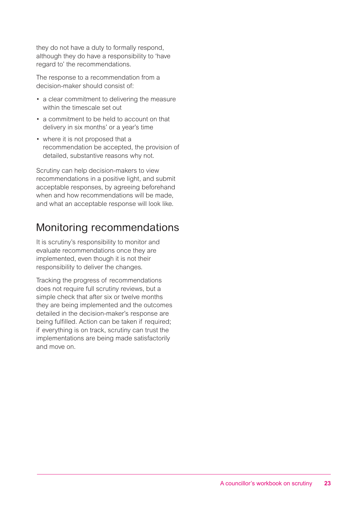they do not have a duty to formally respond, although they do have a responsibility to 'have regard to' the recommendations.

The response to a recommendation from a decision-maker should consist of:

- a clear commitment to delivering the measure within the timescale set out
- a commitment to be held to account on that delivery in six months' or a year's time
- where it is not proposed that a recommendation be accepted, the provision of detailed, substantive reasons why not.

Scrutiny can help decision-makers to view recommendations in a positive light, and submit acceptable responses, by agreeing beforehand when and how recommendations will be made, and what an acceptable response will look like.

### Monitoring recommendations

It is scrutiny's responsibility to monitor and evaluate recommendations once they are implemented, even though it is not their responsibility to deliver the changes.

Tracking the progress of recommendations does not require full scrutiny reviews, but a simple check that after six or twelve months they are being implemented and the outcomes detailed in the decision-maker's response are being fulfilled. Action can be taken if required; if everything is on track, scrutiny can trust the implementations are being made satisfactorily and move on.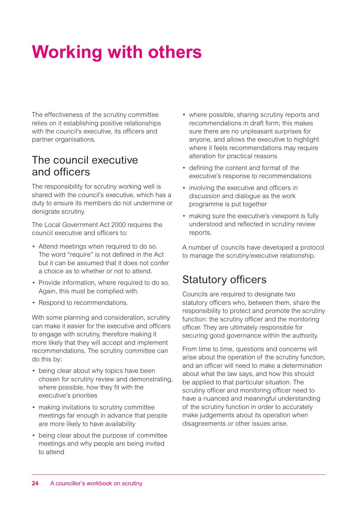## **Working with others**

The effectiveness of the scrutiny committee relies on it establishing positive relationships with the council's executive, its officers and partner organisations.

### The council executive and officers

The responsibility for scrutiny working well is shared with the council's executive, which has a duty to ensure its members do not undermine or denigrate scrutiny.

The Local Government Act 2000 requires the council executive and officers to:

- Attend meetings when required to do so. The word "require" is not defined in the Act but it can be assumed that it does not confer a choice as to whether or not to attend.
- Provide information, where required to do so. Again, this must be complied with.
- Respond to recommendations.

With some planning and consideration, scrutiny can make it easier for the executive and officers to engage with scrutiny, therefore making it more likely that they will accept and implement recommendations. The scrutiny committee can do this by:

- being clear about why topics have been chosen for scrutiny review and demonstrating, where possible, how they fit with the executive's priorities
- making invitations to scrutiny committee meetings far enough in advance that people are more likely to have availability
- being clear about the purpose of committee meetings and why people are being invited to attend
- where possible, sharing scrutiny reports and recommendations in draft form; this makes sure there are no unpleasant surprises for anyone, and allows the executive to highlight where it feels recommendations may require alteration for practical reasons
- defining the content and format of the executive's response to recommendations
- involving the executive and officers in discussion and dialogue as the work programme is put together
- making sure the executive's viewpoint is fully understood and reflected in scrutiny review reports.

A number of councils have developed a protocol to manage the scrutiny/executive relationship.

### Statutory officers

Councils are required to designate two statutory officers who, between them, share the responsibility to protect and promote the scrutiny function: the scrutiny officer and the monitoring officer. They are ultimately responsible for securing good governance within the authority.

From time to time, questions and concerns will arise about the operation of the scrutiny function, and an officer will need to make a determination about what the law says, and how this should be applied to that particular situation. The scrutiny officer and monitoring officer need to have a nuanced and meaningful understanding of the scrutiny function in order to accurately make judgements about its operation when disagreements or other issues arise.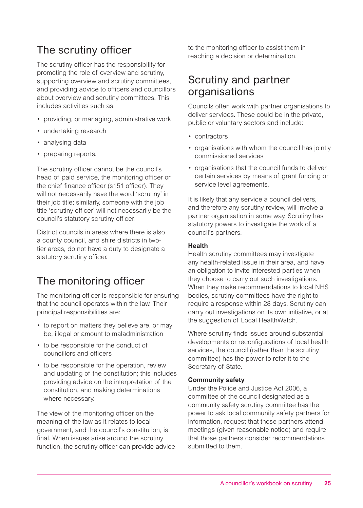### The scrutiny officer

The scrutiny officer has the responsibility for promoting the role of overview and scrutiny, supporting overview and scrutiny committees, and providing advice to officers and councillors about overview and scrutiny committees. This includes activities such as:

- providing, or managing, administrative work
- undertaking research
- analysing data
- preparing reports.

The scrutiny officer cannot be the council's head of paid service, the monitoring officer or the chief finance officer (s151 officer). They will not necessarily have the word 'scrutiny' in their job title; similarly, someone with the job title 'scrutiny officer' will not necessarily be the council's statutory scrutiny officer.

District councils in areas where there is also a county council, and shire districts in twotier areas, do not have a duty to designate a statutory scrutiny officer.

### The monitoring officer

The monitoring officer is responsible for ensuring that the council operates within the law. Their principal responsibilities are:

- to report on matters they believe are, or may be, illegal or amount to maladministration
- to be responsible for the conduct of councillors and officers
- to be responsible for the operation, review and updating of the constitution; this includes providing advice on the interpretation of the constitution, and making determinations where necessary.

The view of the monitoring officer on the meaning of the law as it relates to local government, and the council's constitution, is final. When issues arise around the scrutiny function, the scrutiny officer can provide advice to the monitoring officer to assist them in reaching a decision or determination.

### Scrutiny and partner organisations

Councils often work with partner organisations to deliver services. These could be in the private, public or voluntary sectors and include:

- contractors
- organisations with whom the council has jointly commissioned services
- organisations that the council funds to deliver certain services by means of grant funding or service level agreements.

It is likely that any service a council delivers, and therefore any scrutiny review, will involve a partner organisation in some way. Scrutiny has statutory powers to investigate the work of a council's partners.

### **Health**

Health scrutiny committees may investigate any health-related issue in their area, and have an obligation to invite interested parties when they choose to carry out such investigations. When they make recommendations to local NHS bodies, scrutiny committees have the right to require a response within 28 days. Scrutiny can carry out investigations on its own initiative, or at the suggestion of Local HealthWatch.

Where scrutiny finds issues around substantial developments or reconfigurations of local health services, the council (rather than the scrutiny committee) has the power to refer it to the Secretary of State.

### **Community safety**

Under the Police and Justice Act 2006, a committee of the council designated as a community safety scrutiny committee has the power to ask local community safety partners for information, request that those partners attend meetings (given reasonable notice) and require that those partners consider recommendations submitted to them.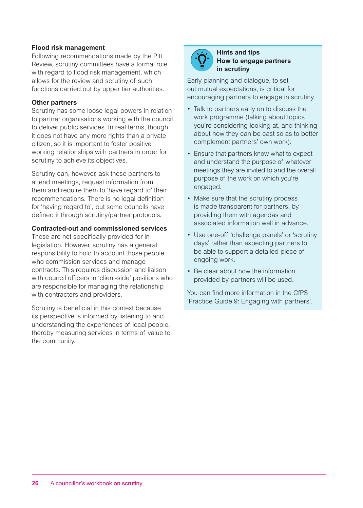### **Flood risk management**

Following recommendations made by the Pitt Review, scrutiny committees have a formal role with regard to flood risk management, which allows for the review and scrutiny of such functions carried out by upper tier authorities.

### **Other partners**

Scrutiny has some loose legal powers in relation to partner organisations working with the council to deliver public services. In real terms, though, it does not have any more rights than a private citizen, so it is important to foster positive working relationships with partners in order for scrutiny to achieve its objectives.

Scrutiny can, however, ask these partners to attend meetings, request information from them and require them to 'have regard to' their recommendations. There is no legal definition for 'having regard to', but some councils have defined it through scrutiny/partner protocols.

### **Contracted-out and commissioned services**

These are not specifically provided for in legislation. However, scrutiny has a general responsibility to hold to account those people who commission services and manage contracts. This requires discussion and liaison with council officers in 'client-side' positions who are responsible for managing the relationship with contractors and providers.

Scrutiny is beneficial in this context because its perspective is informed by listening to and understanding the experiences of local people, thereby measuring services in terms of value to the community.



#### **Hints and tips How to engage partners in scrutiny**

Early planning and dialogue, to set out mutual expectations, is critical for encouraging partners to engage in scrutiny.

- Talk to partners early on to discuss the work programme (talking about topics you're considering looking at, and thinking about how they can be cast so as to better complement partners' own work).
- Ensure that partners know what to expect and understand the purpose of whatever meetings they are invited to and the overall purpose of the work on which you're engaged.
- Make sure that the scrutiny process is made transparent for partners, by providing them with agendas and associated information well in advance.
- Use one-off 'challenge panels' or 'scrutiny days' rather than expecting partners to be able to support a detailed piece of ongoing work.
- Be clear about how the information provided by partners will be used.

You can find more information in the CfPS 'Practice Guide 9: Engaging with partners'.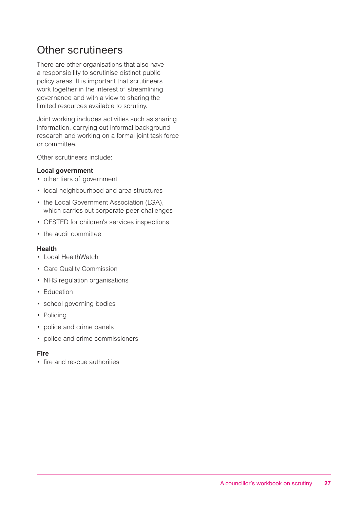### Other scrutineers

There are other organisations that also have a responsibility to scrutinise distinct public policy areas. It is important that scrutineers work together in the interest of streamlining governance and with a view to sharing the limited resources available to scrutiny.

Joint working includes activities such as sharing information, carrying out informal background research and working on a formal joint task force or committee.

Other scrutineers include:

### **Local government**

- other tiers of government
- local neighbourhood and area structures
- the Local Government Association (LGA), which carries out corporate peer challenges
- OFSTED for children's services inspections
- the audit committee

#### **Health**

- Local HealthWatch
- Care Quality Commission
- NHS regulation organisations
- Education
- school governing bodies
- Policing
- police and crime panels
- police and crime commissioners

### **Fire**

• fire and rescue authorities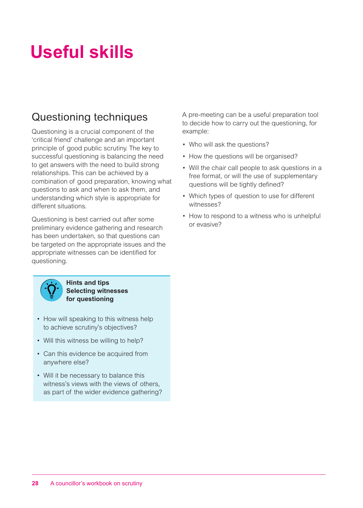## **Useful skills**

### Questioning techniques

Questioning is a crucial component of the 'critical friend' challenge and an important principle of good public scrutiny. The key to successful questioning is balancing the need to get answers with the need to build strong relationships. This can be achieved by a combination of good preparation, knowing what questions to ask and when to ask them, and understanding which style is appropriate for different situations.

Questioning is best carried out after some preliminary evidence gathering and research has been undertaken, so that questions can be targeted on the appropriate issues and the appropriate witnesses can be identified for questioning.



**Hints and tips Selecting witnesses for questioning**

- How will speaking to this witness help to achieve scrutiny's objectives?
- Will this witness be willing to help?
- Can this evidence be acquired from anywhere else?
- Will it be necessary to balance this witness's views with the views of others, as part of the wider evidence gathering?

A pre-meeting can be a useful preparation tool to decide how to carry out the questioning, for example:

- Who will ask the questions?
- How the questions will be organised?
- Will the chair call people to ask questions in a free format, or will the use of supplementary questions will be tightly defined?
- Which types of question to use for different witnesses?
- How to respond to a witness who is unhelpful or evasive?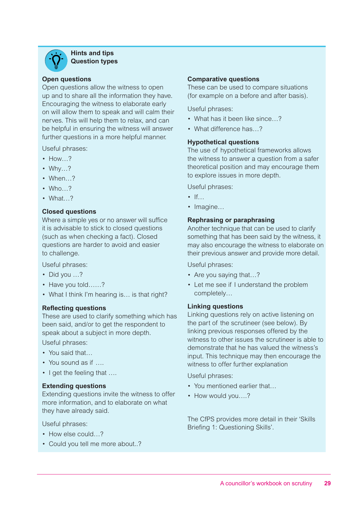

**Hints and tips Question types**

#### **Open questions**

Open questions allow the witness to open up and to share all the information they have. Encouraging the witness to elaborate early on will allow them to speak and will calm their nerves. This will help them to relax, and can be helpful in ensuring the witness will answer further questions in a more helpful manner.

Useful phrases:

- How...?
- Why…?
- When…?
- Who  $\frac{2}{3}$
- What…?

#### **Closed questions**

Where a simple yes or no answer will suffice it is advisable to stick to closed questions (such as when checking a fact). Closed questions are harder to avoid and easier to challenge.

Useful phrases:

- Did you ...?
- Have you told……?
- What I think I'm hearing is... is that right?

#### **Reflecting questions**

These are used to clarify something which has been said, and/or to get the respondent to speak about a subject in more depth.

Useful phrases:

- You said that...
- You sound as if ….
- I get the feeling that ....

### **Extending questions**

Extending questions invite the witness to offer more information, and to elaborate on what they have already said.

Useful phrases:

- How else could...?
- Could you tell me more about..?

#### **Comparative questions**

These can be used to compare situations (for example on a before and after basis).

Useful phrases:

- What has it been like since…?
- What difference has...?

#### **Hypothetical questions**

The use of hypothetical frameworks allows the witness to answer a question from a safer theoretical position and may encourage them to explore issues in more depth.

Useful phrases:

- $\bullet$  If
- Imagine...

#### **Rephrasing or paraphrasing**

Another technique that can be used to clarify something that has been said by the witness, it may also encourage the witness to elaborate on their previous answer and provide more detail.

Useful phrases:

- Are you saying that…?
- Let me see if I understand the problem completely…

#### **Linking questions**

Linking questions rely on active listening on the part of the scrutineer (see below). By linking previous responses offered by the witness to other issues the scrutineer is able to demonstrate that he has valued the witness's input. This technique may then encourage the witness to offer further explanation

Useful phrases:

- You mentioned earlier that...
- How would you....?

The CfPS provides more detail in their 'Skills Briefing 1: Questioning Skills'.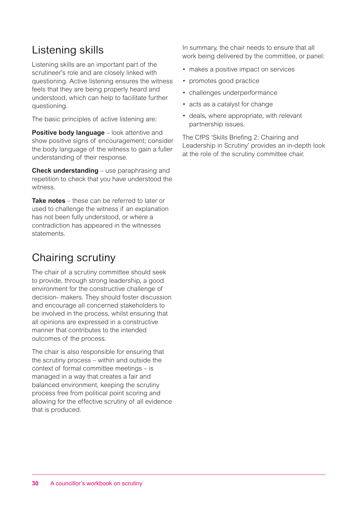### Listening skills

Listening skills are an important part of the scrutineer's role and are closely linked with questioning. Active listening ensures the witness feels that they are being properly heard and understood, which can help to facilitate further questioning.

The basic principles of active listening are:

**Positive body language** – look attentive and show positive signs of encouragement; consider the body language of the witness to gain a fuller understanding of their response.

**Check understanding** – use paraphrasing and repetition to check that you have understood the witness.

**Take notes** – these can be referred to later or used to challenge the witness if an explanation has not been fully understood, or where a contradiction has appeared in the witnesses statements.

### Chairing scrutiny

The chair of a scrutiny committee should seek to provide, through strong leadership, a good environment for the constructive challenge of decision- makers. They should foster discussion and encourage all concerned stakeholders to be involved in the process, whilst ensuring that all opinions are expressed in a constructive manner that contributes to the intended outcomes of the process.

The chair is also responsible for ensuring that the scrutiny process – within and outside the context of formal committee meetings – is managed in a way that creates a fair and balanced environment, keeping the scrutiny process free from political point scoring and allowing for the effective scrutiny of all evidence that is produced.

In summary, the chair needs to ensure that all work being delivered by the committee, or panel:

- makes a positive impact on services
- promotes good practice
- challenges underperformance
- acts as a catalyst for change
- deals, where appropriate, with relevant partnership issues.

The CfPS 'Skills Briefing 2: Chairing and Leadership in Scrutiny' provides an in-depth look at the role of the scrutiny committee chair.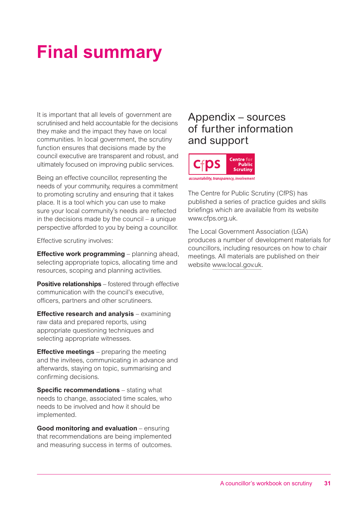## **Final summary**

It is important that all levels of government are scrutinised and held accountable for the decisions they make and the impact they have on local communities. In local government, the scrutiny function ensures that decisions made by the council executive are transparent and robust, and ultimately focused on improving public services.

Being an effective councillor, representing the needs of your community, requires a commitment to promoting scrutiny and ensuring that it takes place. It is a tool which you can use to make sure your local community's needs are reflected in the decisions made by the council – a unique perspective afforded to you by being a councillor.

Effective scrutiny involves:

**Effective work programming** – planning ahead, selecting appropriate topics, allocating time and resources, scoping and planning activities.

**Positive relationships** – fostered through effective communication with the council's executive, officers, partners and other scrutineers.

**Effective research and analysis** – examining raw data and prepared reports, using appropriate questioning techniques and selecting appropriate witnesses.

**Effective meetings** – preparing the meeting and the invitees, communicating in advance and afterwards, staying on topic, summarising and confirming decisions.

**Specific recommendations** – stating what needs to change, associated time scales, who needs to be involved and how it should be implemented.

**Good monitoring and evaluation** – ensuring that recommendations are being implemented and measuring success in terms of outcomes.

### Appendix – sources of further information and support



The Centre for Public Scrutiny (CfPS) has published a series of practice guides and skills briefings which are available from its website www.cfps.org.uk.

The Local Government Association (LGA) produces a number of development materials for councillors, including resources on how to chair meetings. All materials are published on their website www.local.gov.uk.